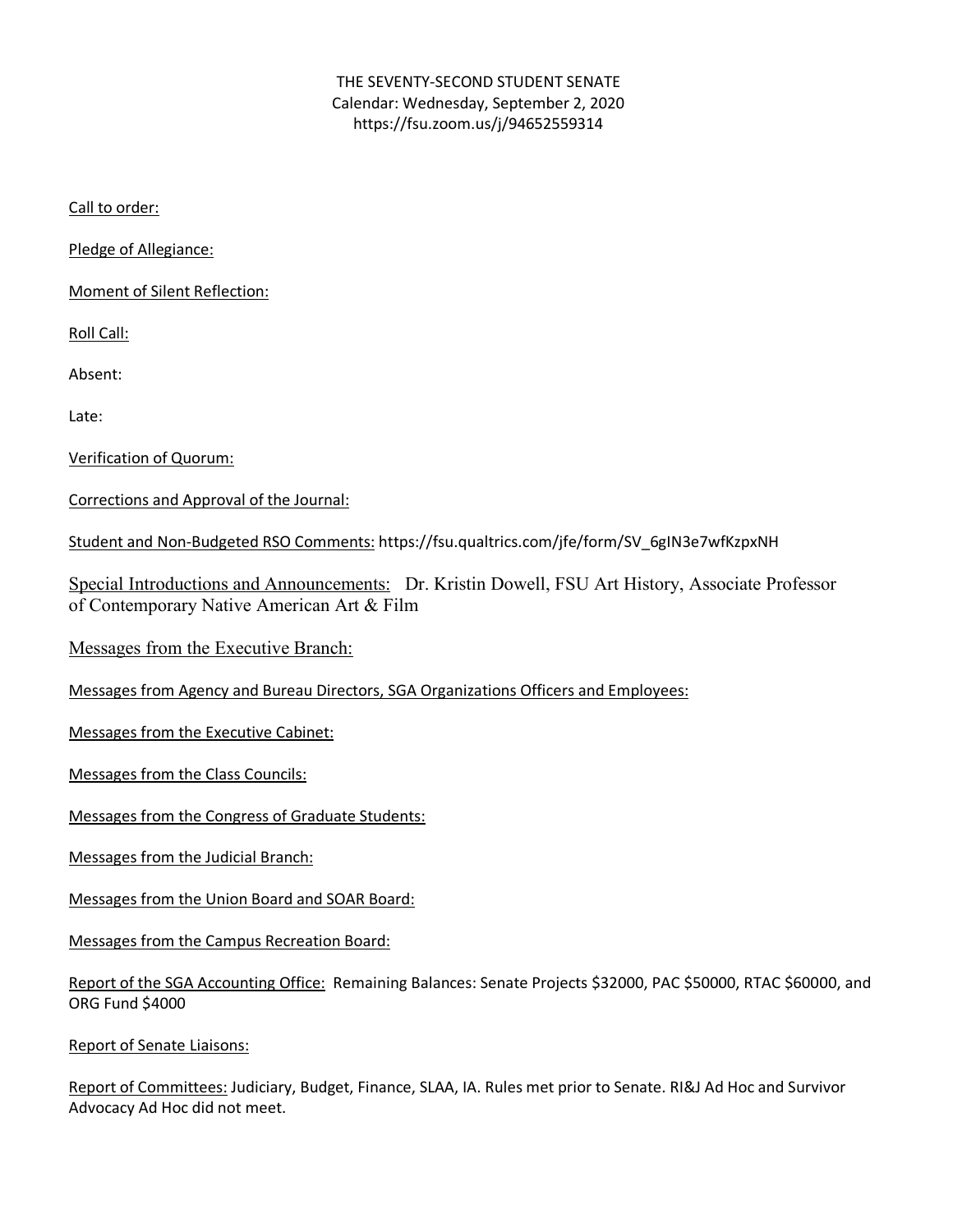## THE SEVENTY-SECOND STUDENT SENATE Calendar: Wednesday, September 2, 2020 https://fsu.zoom.us/j/94652559314

Call to order:

Pledge of Allegiance:

Moment of Silent Reflection:

Roll Call:

Absent:

Late:

Verification of Quorum:

Corrections and Approval of the Journal:

Student and Non-Budgeted RSO Comments: https://fsu.qualtrics.com/jfe/form/SV\_6gIN3e7wfKzpxNH

Special Introductions and Announcements: Dr. Kristin Dowell, FSU Art History, Associate Professor of Contemporary Native American Art & Film

Messages from the Executive Branch:

Messages from Agency and Bureau Directors, SGA Organizations Officers and Employees:

Messages from the Executive Cabinet:

Messages from the Class Councils:

Messages from the Congress of Graduate Students:

Messages from the Judicial Branch:

Messages from the Union Board and SOAR Board:

Messages from the Campus Recreation Board:

|                 | Report of the SGA Accounting Office: Remaining Balances: Senate Projects \$32000, PAC \$50000, RTAC \$60000, and |  |
|-----------------|------------------------------------------------------------------------------------------------------------------|--|
| ORG Fund \$4000 |                                                                                                                  |  |

Report of Senate Liaisons:

Report of Committees: Judiciary, Budget, Finance, SLAA, IA. Rules met prior to Senate. RI&J Ad Hoc and Survivor Advocacy Ad Hoc did not meet.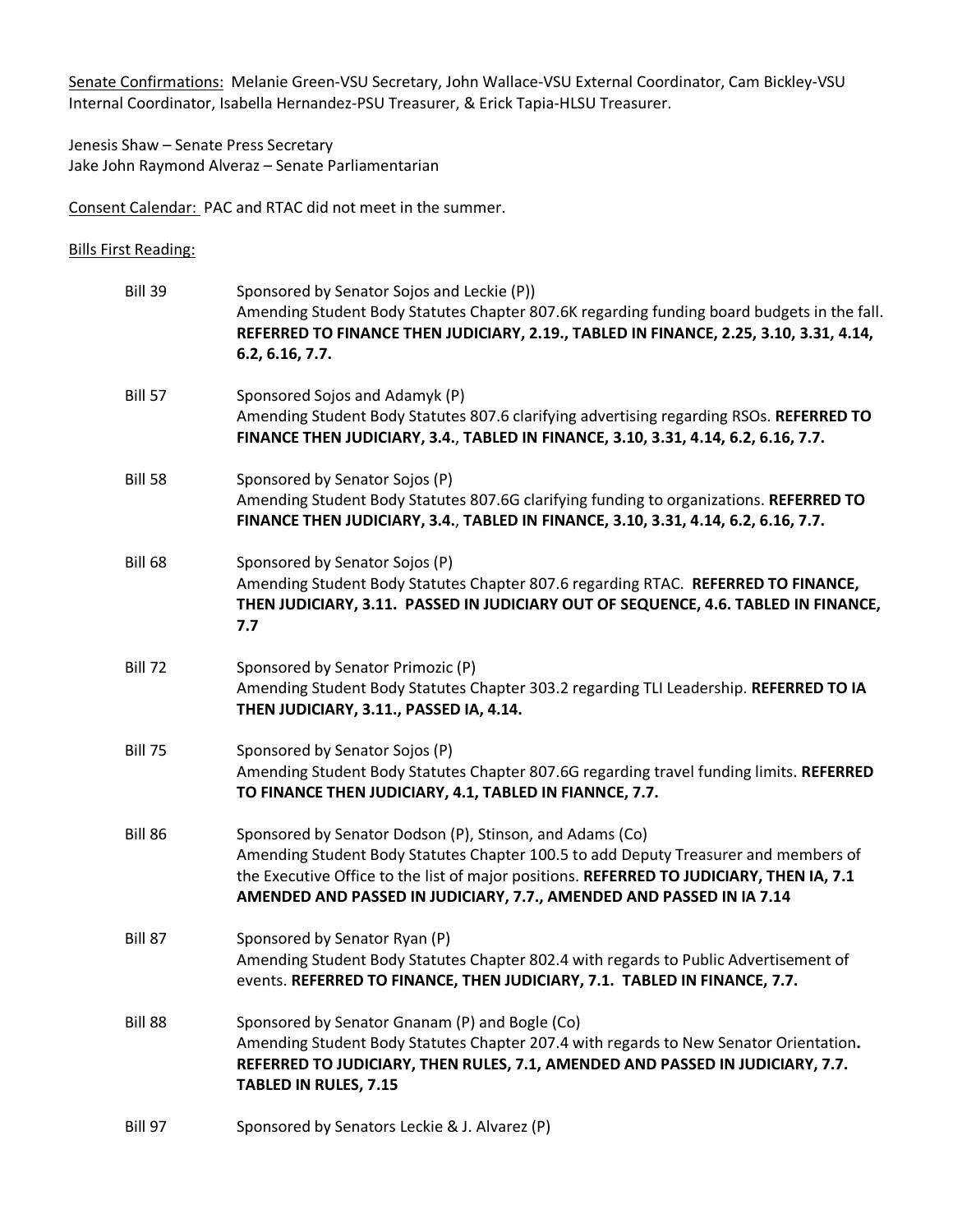Senate Confirmations: Melanie Green-VSU Secretary, John Wallace-VSU External Coordinator, Cam Bickley-VSU Internal Coordinator, Isabella Hernandez-PSU Treasurer, & Erick Tapia-HLSU Treasurer.

Jenesis Shaw – Senate Press Secretary Jake John Raymond Alveraz – Senate Parliamentarian

Consent Calendar: PAC and RTAC did not meet in the summer.

Bills First Reading:

| Bill 39        | Sponsored by Senator Sojos and Leckie (P))<br>Amending Student Body Statutes Chapter 807.6K regarding funding board budgets in the fall.<br>REFERRED TO FINANCE THEN JUDICIARY, 2.19., TABLED IN FINANCE, 2.25, 3.10, 3.31, 4.14,<br>6.2, 6.16, 7.7.                                                                |
|----------------|---------------------------------------------------------------------------------------------------------------------------------------------------------------------------------------------------------------------------------------------------------------------------------------------------------------------|
| <b>Bill 57</b> | Sponsored Sojos and Adamyk (P)<br>Amending Student Body Statutes 807.6 clarifying advertising regarding RSOs. REFERRED TO<br>FINANCE THEN JUDICIARY, 3.4., TABLED IN FINANCE, 3.10, 3.31, 4.14, 6.2, 6.16, 7.7.                                                                                                     |
| <b>Bill 58</b> | Sponsored by Senator Sojos (P)<br>Amending Student Body Statutes 807.6G clarifying funding to organizations. REFERRED TO<br>FINANCE THEN JUDICIARY, 3.4., TABLED IN FINANCE, 3.10, 3.31, 4.14, 6.2, 6.16, 7.7.                                                                                                      |
| <b>Bill 68</b> | Sponsored by Senator Sojos (P)<br>Amending Student Body Statutes Chapter 807.6 regarding RTAC. REFERRED TO FINANCE,<br>THEN JUDICIARY, 3.11. PASSED IN JUDICIARY OUT OF SEQUENCE, 4.6. TABLED IN FINANCE,<br>7.7                                                                                                    |
| <b>Bill 72</b> | Sponsored by Senator Primozic (P)<br>Amending Student Body Statutes Chapter 303.2 regarding TLI Leadership. REFERRED TO IA<br>THEN JUDICIARY, 3.11., PASSED IA, 4.14.                                                                                                                                               |
| <b>Bill 75</b> | Sponsored by Senator Sojos (P)<br>Amending Student Body Statutes Chapter 807.6G regarding travel funding limits. REFERRED<br>TO FINANCE THEN JUDICIARY, 4.1, TABLED IN FIANNCE, 7.7.                                                                                                                                |
| Bill 86        | Sponsored by Senator Dodson (P), Stinson, and Adams (Co)<br>Amending Student Body Statutes Chapter 100.5 to add Deputy Treasurer and members of<br>the Executive Office to the list of major positions. REFERRED TO JUDICIARY, THEN IA, 7.1<br>AMENDED AND PASSED IN JUDICIARY, 7.7., AMENDED AND PASSED IN IA 7.14 |
| Bill 87        | Sponsored by Senator Ryan (P)<br>Amending Student Body Statutes Chapter 802.4 with regards to Public Advertisement of<br>events. REFERRED TO FINANCE, THEN JUDICIARY, 7.1. TABLED IN FINANCE, 7.7.                                                                                                                  |
| <b>Bill 88</b> | Sponsored by Senator Gnanam (P) and Bogle (Co)<br>Amending Student Body Statutes Chapter 207.4 with regards to New Senator Orientation.<br>REFERRED TO JUDICIARY, THEN RULES, 7.1, AMENDED AND PASSED IN JUDICIARY, 7.7.<br><b>TABLED IN RULES, 7.15</b>                                                            |
| <b>Bill 97</b> | Sponsored by Senators Leckie & J. Alvarez (P)                                                                                                                                                                                                                                                                       |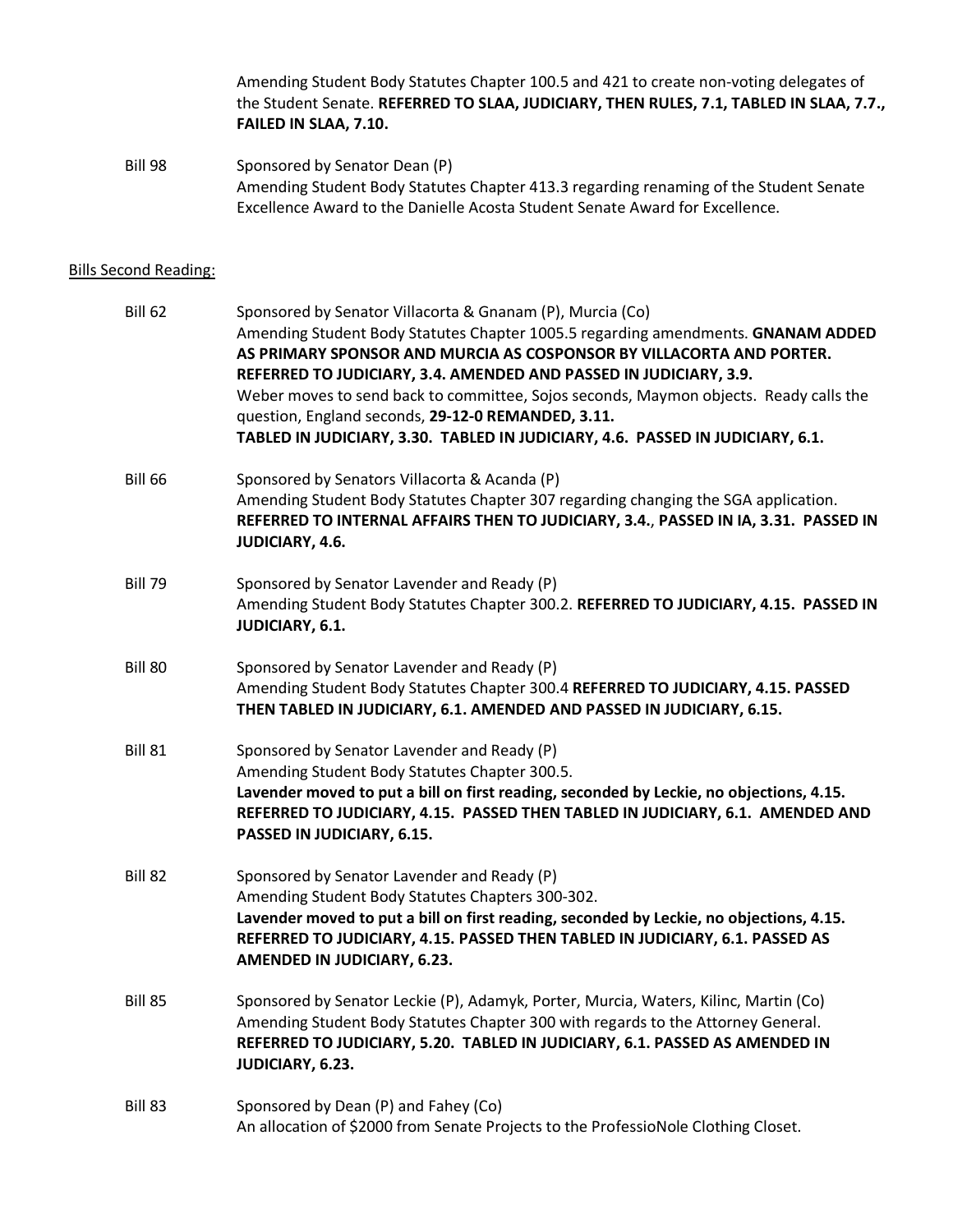Amending Student Body Statutes Chapter 100.5 and 421 to create non-voting delegates of the Student Senate. **REFERRED TO SLAA, JUDICIARY, THEN RULES, 7.1, TABLED IN SLAA, 7.7., FAILED IN SLAA, 7.10.**

Bill 98 Sponsored by Senator Dean (P) Amending Student Body Statutes Chapter 413.3 regarding renaming of the Student Senate Excellence Award to the Danielle Acosta Student Senate Award for Excellence.

## Bills Second Reading:

| <b>Bill 62</b> | Sponsored by Senator Villacorta & Gnanam (P), Murcia (Co)<br>Amending Student Body Statutes Chapter 1005.5 regarding amendments. GNANAM ADDED<br>AS PRIMARY SPONSOR AND MURCIA AS COSPONSOR BY VILLACORTA AND PORTER.<br>REFERRED TO JUDICIARY, 3.4. AMENDED AND PASSED IN JUDICIARY, 3.9.<br>Weber moves to send back to committee, Sojos seconds, Maymon objects. Ready calls the<br>question, England seconds, 29-12-0 REMANDED, 3.11.<br>TABLED IN JUDICIARY, 3.30. TABLED IN JUDICIARY, 4.6. PASSED IN JUDICIARY, 6.1. |
|----------------|-----------------------------------------------------------------------------------------------------------------------------------------------------------------------------------------------------------------------------------------------------------------------------------------------------------------------------------------------------------------------------------------------------------------------------------------------------------------------------------------------------------------------------|
| <b>Bill 66</b> | Sponsored by Senators Villacorta & Acanda (P)<br>Amending Student Body Statutes Chapter 307 regarding changing the SGA application.<br>REFERRED TO INTERNAL AFFAIRS THEN TO JUDICIARY, 3.4., PASSED IN IA, 3.31. PASSED IN<br>JUDICIARY, 4.6.                                                                                                                                                                                                                                                                               |
| <b>Bill 79</b> | Sponsored by Senator Lavender and Ready (P)<br>Amending Student Body Statutes Chapter 300.2. REFERRED TO JUDICIARY, 4.15. PASSED IN<br>JUDICIARY, 6.1.                                                                                                                                                                                                                                                                                                                                                                      |
| <b>Bill 80</b> | Sponsored by Senator Lavender and Ready (P)<br>Amending Student Body Statutes Chapter 300.4 REFERRED TO JUDICIARY, 4.15. PASSED<br>THEN TABLED IN JUDICIARY, 6.1. AMENDED AND PASSED IN JUDICIARY, 6.15.                                                                                                                                                                                                                                                                                                                    |
| <b>Bill 81</b> | Sponsored by Senator Lavender and Ready (P)<br>Amending Student Body Statutes Chapter 300.5.<br>Lavender moved to put a bill on first reading, seconded by Leckie, no objections, 4.15.<br>REFERRED TO JUDICIARY, 4.15. PASSED THEN TABLED IN JUDICIARY, 6.1. AMENDED AND<br>PASSED IN JUDICIARY, 6.15.                                                                                                                                                                                                                     |
| Bill 82        | Sponsored by Senator Lavender and Ready (P)<br>Amending Student Body Statutes Chapters 300-302.<br>Lavender moved to put a bill on first reading, seconded by Leckie, no objections, 4.15.<br>REFERRED TO JUDICIARY, 4.15. PASSED THEN TABLED IN JUDICIARY, 6.1. PASSED AS<br>AMENDED IN JUDICIARY, 6.23.                                                                                                                                                                                                                   |
| <b>Bill 85</b> | Sponsored by Senator Leckie (P), Adamyk, Porter, Murcia, Waters, Kilinc, Martin (Co)<br>Amending Student Body Statutes Chapter 300 with regards to the Attorney General.<br>REFERRED TO JUDICIARY, 5.20. TABLED IN JUDICIARY, 6.1. PASSED AS AMENDED IN<br>JUDICIARY, 6.23.                                                                                                                                                                                                                                                 |
| Bill 83        | Sponsored by Dean (P) and Fahey (Co)<br>An allocation of \$2000 from Senate Projects to the ProfessioNole Clothing Closet.                                                                                                                                                                                                                                                                                                                                                                                                  |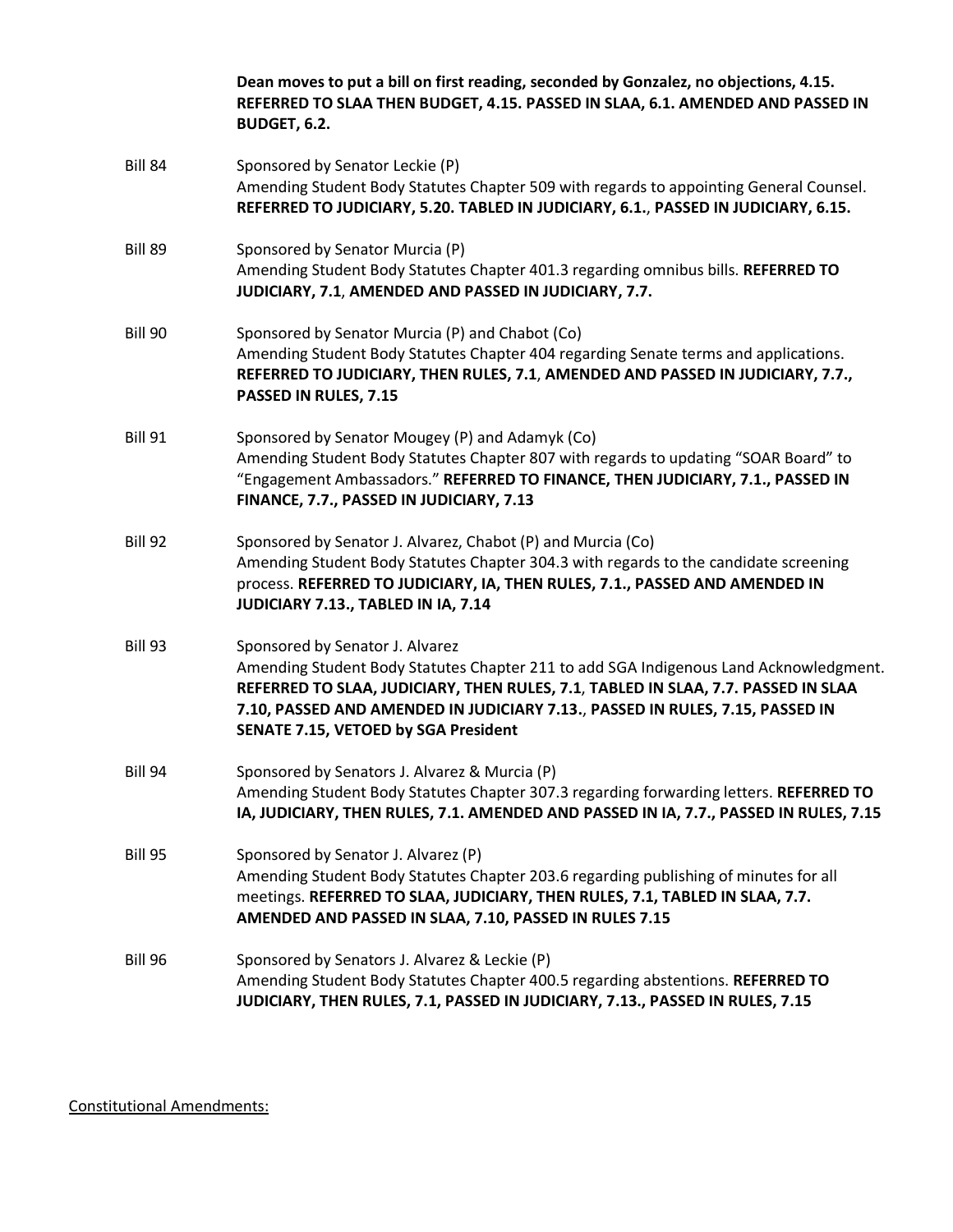|                | Dean moves to put a bill on first reading, seconded by Gonzalez, no objections, 4.15.<br>REFERRED TO SLAA THEN BUDGET, 4.15. PASSED IN SLAA, 6.1. AMENDED AND PASSED IN<br><b>BUDGET, 6.2.</b>                                                                                                                                                |
|----------------|-----------------------------------------------------------------------------------------------------------------------------------------------------------------------------------------------------------------------------------------------------------------------------------------------------------------------------------------------|
| <b>Bill 84</b> | Sponsored by Senator Leckie (P)<br>Amending Student Body Statutes Chapter 509 with regards to appointing General Counsel.<br>REFERRED TO JUDICIARY, 5.20. TABLED IN JUDICIARY, 6.1., PASSED IN JUDICIARY, 6.15.                                                                                                                               |
| Bill 89        | Sponsored by Senator Murcia (P)<br>Amending Student Body Statutes Chapter 401.3 regarding omnibus bills. REFERRED TO<br>JUDICIARY, 7.1, AMENDED AND PASSED IN JUDICIARY, 7.7.                                                                                                                                                                 |
| Bill 90        | Sponsored by Senator Murcia (P) and Chabot (Co)<br>Amending Student Body Statutes Chapter 404 regarding Senate terms and applications.<br>REFERRED TO JUDICIARY, THEN RULES, 7.1, AMENDED AND PASSED IN JUDICIARY, 7.7.,<br>PASSED IN RULES, 7.15                                                                                             |
| <b>Bill 91</b> | Sponsored by Senator Mougey (P) and Adamyk (Co)<br>Amending Student Body Statutes Chapter 807 with regards to updating "SOAR Board" to<br>"Engagement Ambassadors." REFERRED TO FINANCE, THEN JUDICIARY, 7.1., PASSED IN<br>FINANCE, 7.7., PASSED IN JUDICIARY, 7.13                                                                          |
| Bill 92        | Sponsored by Senator J. Alvarez, Chabot (P) and Murcia (Co)<br>Amending Student Body Statutes Chapter 304.3 with regards to the candidate screening<br>process. REFERRED TO JUDICIARY, IA, THEN RULES, 7.1., PASSED AND AMENDED IN<br>JUDICIARY 7.13., TABLED IN IA, 7.14                                                                     |
| <b>Bill 93</b> | Sponsored by Senator J. Alvarez<br>Amending Student Body Statutes Chapter 211 to add SGA Indigenous Land Acknowledgment.<br>REFERRED TO SLAA, JUDICIARY, THEN RULES, 7.1, TABLED IN SLAA, 7.7. PASSED IN SLAA<br>7.10, PASSED AND AMENDED IN JUDICIARY 7.13., PASSED IN RULES, 7.15, PASSED IN<br><b>SENATE 7.15, VETOED by SGA President</b> |
| <b>Bill 94</b> | Sponsored by Senators J. Alvarez & Murcia (P)<br>Amending Student Body Statutes Chapter 307.3 regarding forwarding letters. REFERRED TO<br>IA, JUDICIARY, THEN RULES, 7.1. AMENDED AND PASSED IN IA, 7.7., PASSED IN RULES, 7.15                                                                                                              |
| <b>Bill 95</b> | Sponsored by Senator J. Alvarez (P)<br>Amending Student Body Statutes Chapter 203.6 regarding publishing of minutes for all<br>meetings. REFERRED TO SLAA, JUDICIARY, THEN RULES, 7.1, TABLED IN SLAA, 7.7.<br>AMENDED AND PASSED IN SLAA, 7.10, PASSED IN RULES 7.15                                                                         |
| <b>Bill 96</b> | Sponsored by Senators J. Alvarez & Leckie (P)<br>Amending Student Body Statutes Chapter 400.5 regarding abstentions. REFERRED TO<br>JUDICIARY, THEN RULES, 7.1, PASSED IN JUDICIARY, 7.13., PASSED IN RULES, 7.15                                                                                                                             |

Constitutional Amendments: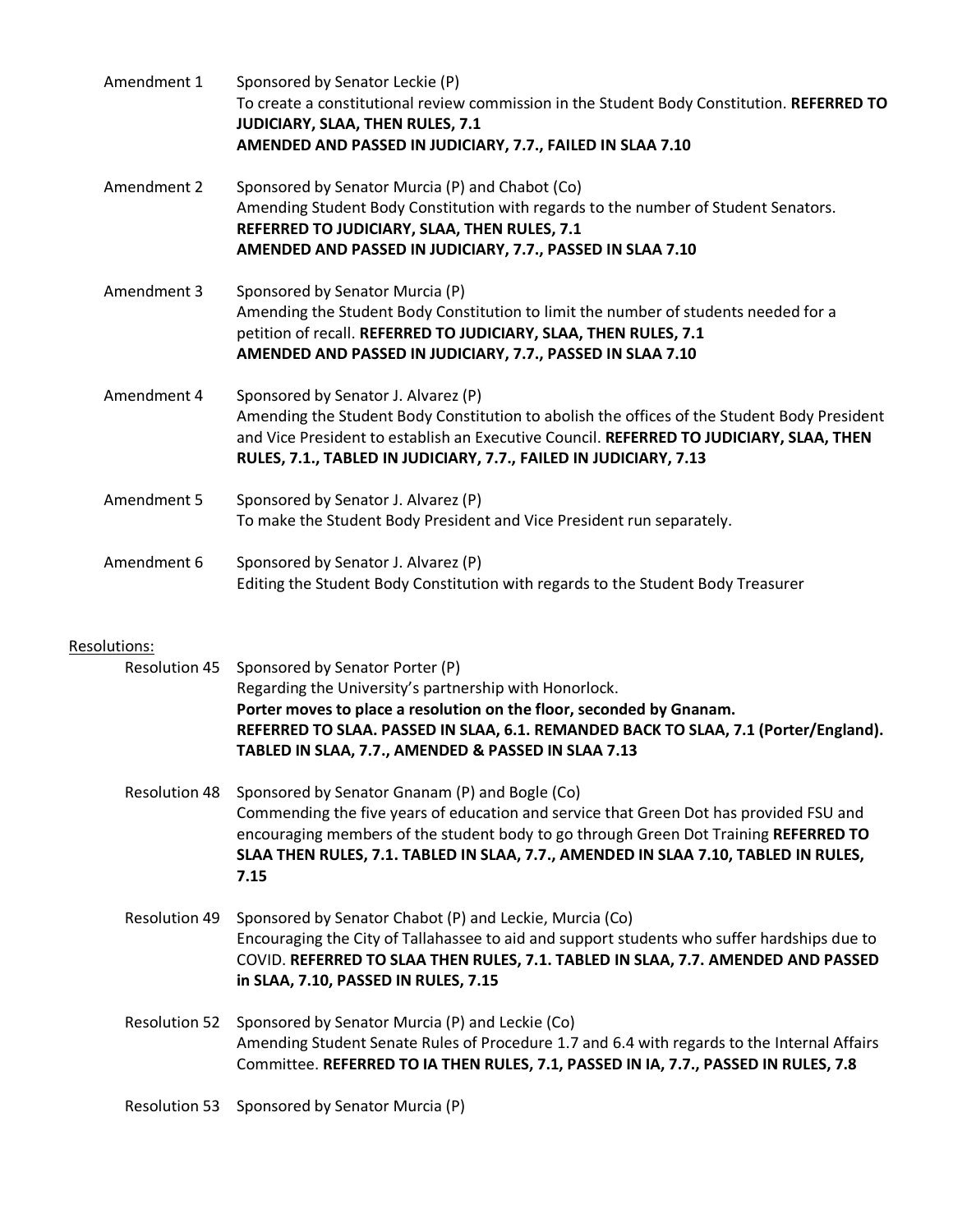| Amendment 1                          | Sponsored by Senator Leckie (P)<br>To create a constitutional review commission in the Student Body Constitution. REFERRED TO<br>JUDICIARY, SLAA, THEN RULES, 7.1<br>AMENDED AND PASSED IN JUDICIARY, 7.7., FAILED IN SLAA 7.10                                                                                                |
|--------------------------------------|--------------------------------------------------------------------------------------------------------------------------------------------------------------------------------------------------------------------------------------------------------------------------------------------------------------------------------|
| Amendment 2                          | Sponsored by Senator Murcia (P) and Chabot (Co)<br>Amending Student Body Constitution with regards to the number of Student Senators.<br>REFERRED TO JUDICIARY, SLAA, THEN RULES, 7.1<br>AMENDED AND PASSED IN JUDICIARY, 7.7., PASSED IN SLAA 7.10                                                                            |
| Amendment 3                          | Sponsored by Senator Murcia (P)<br>Amending the Student Body Constitution to limit the number of students needed for a<br>petition of recall. REFERRED TO JUDICIARY, SLAA, THEN RULES, 7.1<br>AMENDED AND PASSED IN JUDICIARY, 7.7., PASSED IN SLAA 7.10                                                                       |
| Amendment 4                          | Sponsored by Senator J. Alvarez (P)<br>Amending the Student Body Constitution to abolish the offices of the Student Body President<br>and Vice President to establish an Executive Council. REFERRED TO JUDICIARY, SLAA, THEN<br>RULES, 7.1., TABLED IN JUDICIARY, 7.7., FAILED IN JUDICIARY, 7.13                             |
| Amendment 5                          | Sponsored by Senator J. Alvarez (P)<br>To make the Student Body President and Vice President run separately.                                                                                                                                                                                                                   |
| Amendment 6                          | Sponsored by Senator J. Alvarez (P)<br>Editing the Student Body Constitution with regards to the Student Body Treasurer                                                                                                                                                                                                        |
| Resolutions:<br><b>Resolution 45</b> | Sponsored by Senator Porter (P)<br>Regarding the University's partnership with Honorlock.<br>Porter moves to place a resolution on the floor, seconded by Gnanam.<br>REFERRED TO SLAA. PASSED IN SLAA, 6.1. REMANDED BACK TO SLAA, 7.1 (Porter/England).<br>TABLED IN SLAA, 7.7., AMENDED & PASSED IN SLAA 7.13                |
| <b>Resolution 48</b>                 | Sponsored by Senator Gnanam (P) and Bogle (Co)<br>Commending the five years of education and service that Green Dot has provided FSU and<br>encouraging members of the student body to go through Green Dot Training REFERRED TO<br>SLAA THEN RULES, 7.1. TABLED IN SLAA, 7.7., AMENDED IN SLAA 7.10, TABLED IN RULES,<br>7.15 |
| <b>Resolution 49</b>                 | Sponsored by Senator Chabot (P) and Leckie, Murcia (Co)<br>Encouraging the City of Tallahassee to aid and support students who suffer hardships due to<br>COVID. REFERRED TO SLAA THEN RULES, 7.1. TABLED IN SLAA, 7.7. AMENDED AND PASSED<br>in SLAA, 7.10, PASSED IN RULES, 7.15                                             |
| <b>Resolution 52</b>                 | Sponsored by Senator Murcia (P) and Leckie (Co)<br>Amending Student Senate Rules of Procedure 1.7 and 6.4 with regards to the Internal Affairs<br>Committee. REFERRED TO IA THEN RULES, 7.1, PASSED IN IA, 7.7., PASSED IN RULES, 7.8                                                                                          |
| <b>Resolution 53</b>                 | Sponsored by Senator Murcia (P)                                                                                                                                                                                                                                                                                                |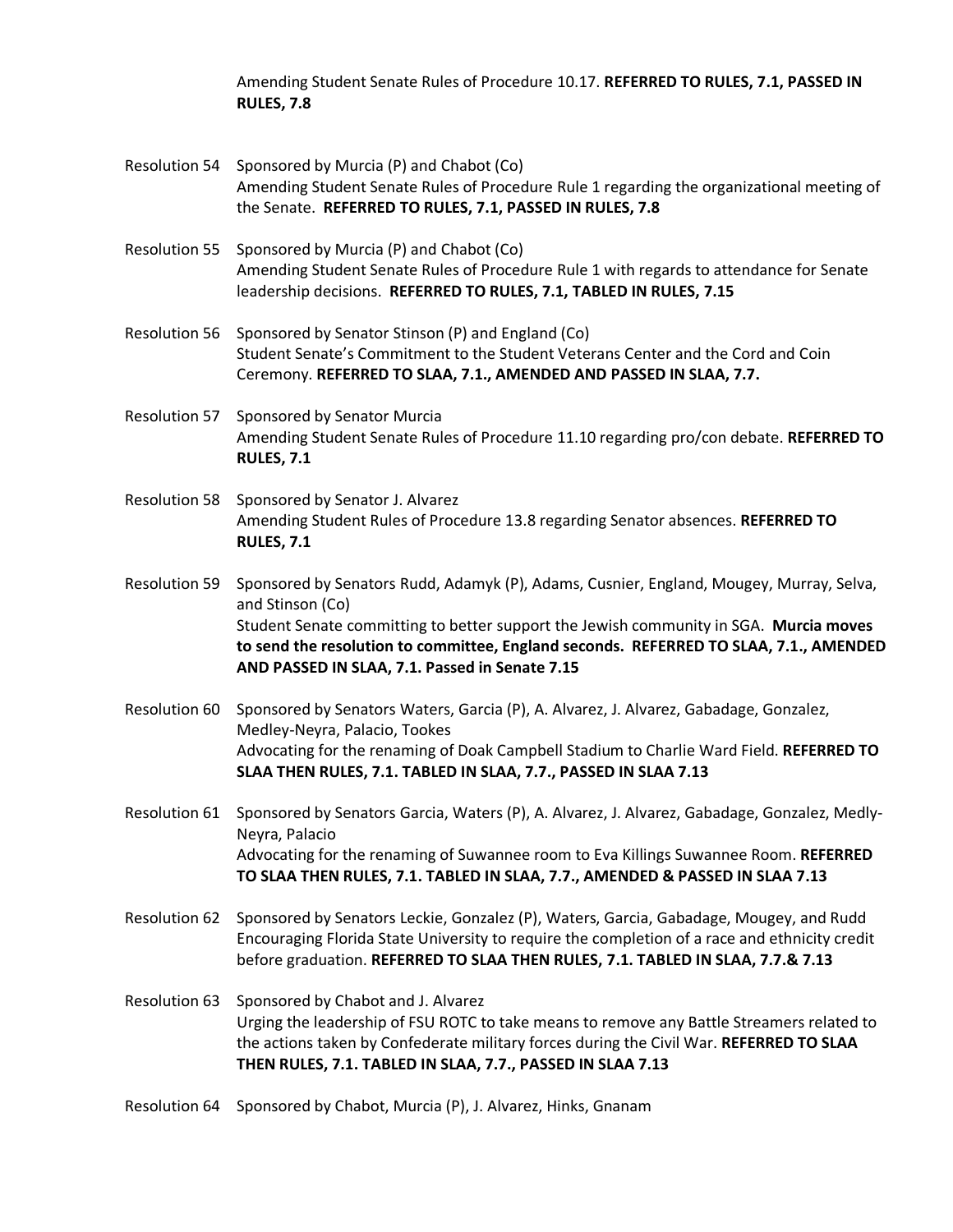Amending Student Senate Rules of Procedure 10.17. **REFERRED TO RULES, 7.1, PASSED IN RULES, 7.8**

- Resolution 54 Sponsored by Murcia (P) and Chabot (Co) Amending Student Senate Rules of Procedure Rule 1 regarding the organizational meeting of the Senate. **REFERRED TO RULES, 7.1, PASSED IN RULES, 7.8**
- Resolution 55 Sponsored by Murcia (P) and Chabot (Co) Amending Student Senate Rules of Procedure Rule 1 with regards to attendance for Senate leadership decisions. **REFERRED TO RULES, 7.1, TABLED IN RULES, 7.15**
- Resolution 56 Sponsored by Senator Stinson (P) and England (Co) Student Senate's Commitment to the Student Veterans Center and the Cord and Coin Ceremony. **REFERRED TO SLAA, 7.1., AMENDED AND PASSED IN SLAA, 7.7.**
- Resolution 57 Sponsored by Senator Murcia Amending Student Senate Rules of Procedure 11.10 regarding pro/con debate. **REFERRED TO RULES, 7.1**
- Resolution 58 Sponsored by Senator J. Alvarez Amending Student Rules of Procedure 13.8 regarding Senator absences. **REFERRED TO RULES, 7.1**

Resolution 59 Sponsored by Senators Rudd, Adamyk (P), Adams, Cusnier, England, Mougey, Murray, Selva, and Stinson (Co) Student Senate committing to better support the Jewish community in SGA. **Murcia moves to send the resolution to committee, England seconds. REFERRED TO SLAA, 7.1., AMENDED AND PASSED IN SLAA, 7.1. Passed in Senate 7.15**

- Resolution 60 Sponsored by Senators Waters, Garcia (P), A. Alvarez, J. Alvarez, Gabadage, Gonzalez, Medley-Neyra, Palacio, Tookes Advocating for the renaming of Doak Campbell Stadium to Charlie Ward Field. **REFERRED TO SLAA THEN RULES, 7.1. TABLED IN SLAA, 7.7., PASSED IN SLAA 7.13**
- Resolution 61 Sponsored by Senators Garcia, Waters (P), A. Alvarez, J. Alvarez, Gabadage, Gonzalez, Medly-Neyra, Palacio Advocating for the renaming of Suwannee room to Eva Killings Suwannee Room. **REFERRED TO SLAA THEN RULES, 7.1. TABLED IN SLAA, 7.7., AMENDED & PASSED IN SLAA 7.13**
- Resolution 62 Sponsored by Senators Leckie, Gonzalez (P), Waters, Garcia, Gabadage, Mougey, and Rudd Encouraging Florida State University to require the completion of a race and ethnicity credit before graduation. **REFERRED TO SLAA THEN RULES, 7.1. TABLED IN SLAA, 7.7.& 7.13**
- Resolution 63 Sponsored by Chabot and J. Alvarez Urging the leadership of FSU ROTC to take means to remove any Battle Streamers related to the actions taken by Confederate military forces during the Civil War. **REFERRED TO SLAA THEN RULES, 7.1. TABLED IN SLAA, 7.7., PASSED IN SLAA 7.13**
- Resolution 64 Sponsored by Chabot, Murcia (P), J. Alvarez, Hinks, Gnanam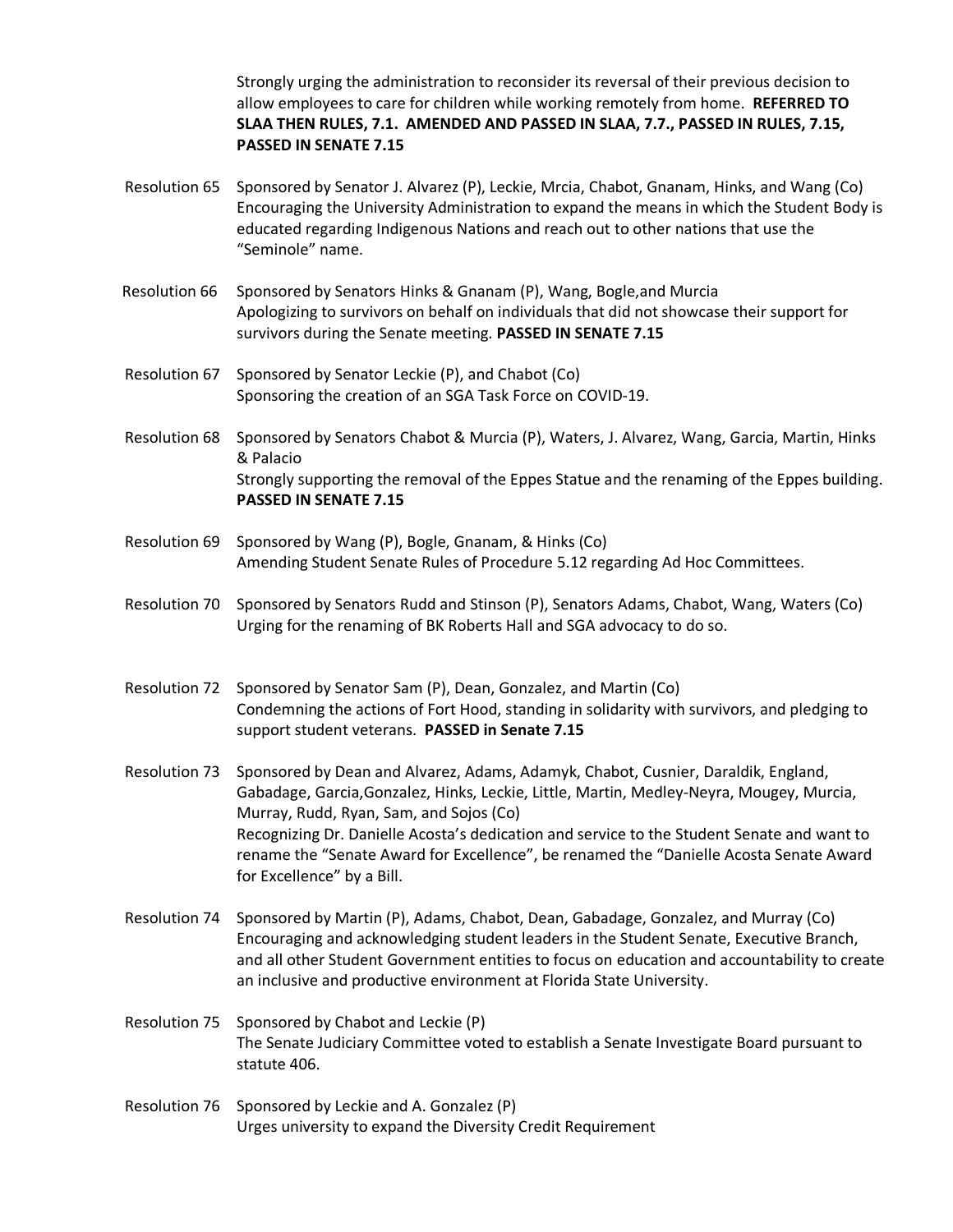Strongly urging the administration to reconsider its reversal of their previous decision to allow employees to care for children while working remotely from home. **REFERRED TO SLAA THEN RULES, 7.1. AMENDED AND PASSED IN SLAA, 7.7., PASSED IN RULES, 7.15, PASSED IN SENATE 7.15**

- Resolution 65 Sponsored by Senator J. Alvarez (P), Leckie, Mrcia, Chabot, Gnanam, Hinks, and Wang (Co) Encouraging the University Administration to expand the means in which the Student Body is educated regarding Indigenous Nations and reach out to other nations that use the "Seminole" name.
- Resolution 66 Sponsored by Senators Hinks & Gnanam (P), Wang, Bogle,and Murcia Apologizing to survivors on behalf on individuals that did not showcase their support for survivors during the Senate meeting. **PASSED IN SENATE 7.15**
- Resolution 67 Sponsored by Senator Leckie (P), and Chabot (Co) Sponsoring the creation of an SGA Task Force on COVID-19.
- Resolution 68 Sponsored by Senators Chabot & Murcia (P), Waters, J. Alvarez, Wang, Garcia, Martin, Hinks & Palacio Strongly supporting the removal of the Eppes Statue and the renaming of the Eppes building. **PASSED IN SENATE 7.15**
- Resolution 69 Sponsored by Wang (P), Bogle, Gnanam, & Hinks (Co) Amending Student Senate Rules of Procedure 5.12 regarding Ad Hoc Committees.
- Resolution 70 Sponsored by Senators Rudd and Stinson (P), Senators Adams, Chabot, Wang, Waters (Co) Urging for the renaming of BK Roberts Hall and SGA advocacy to do so.
- Resolution 72 Sponsored by Senator Sam (P), Dean, Gonzalez, and Martin (Co) Condemning the actions of Fort Hood, standing in solidarity with survivors, and pledging to support student veterans. **PASSED in Senate 7.15**
- Resolution 73 Sponsored by Dean and Alvarez, Adams, Adamyk, Chabot, Cusnier, Daraldik, England, Gabadage, Garcia,Gonzalez, Hinks, Leckie, Little, Martin, Medley-Neyra, Mougey, Murcia, Murray, Rudd, Ryan, Sam, and Sojos (Co) Recognizing Dr. Danielle Acosta's dedication and service to the Student Senate and want to rename the "Senate Award for Excellence", be renamed the "Danielle Acosta Senate Award for Excellence" by a Bill.
- Resolution 74 Sponsored by Martin (P), Adams, Chabot, Dean, Gabadage, Gonzalez, and Murray (Co) Encouraging and acknowledging student leaders in the Student Senate, Executive Branch, and all other Student Government entities to focus on education and accountability to create an inclusive and productive environment at Florida State University.
- Resolution 75 Sponsored by Chabot and Leckie (P) The Senate Judiciary Committee voted to establish a Senate Investigate Board pursuant to statute 406.
- Resolution 76 Sponsored by Leckie and A. Gonzalez (P) Urges university to expand the Diversity Credit Requirement